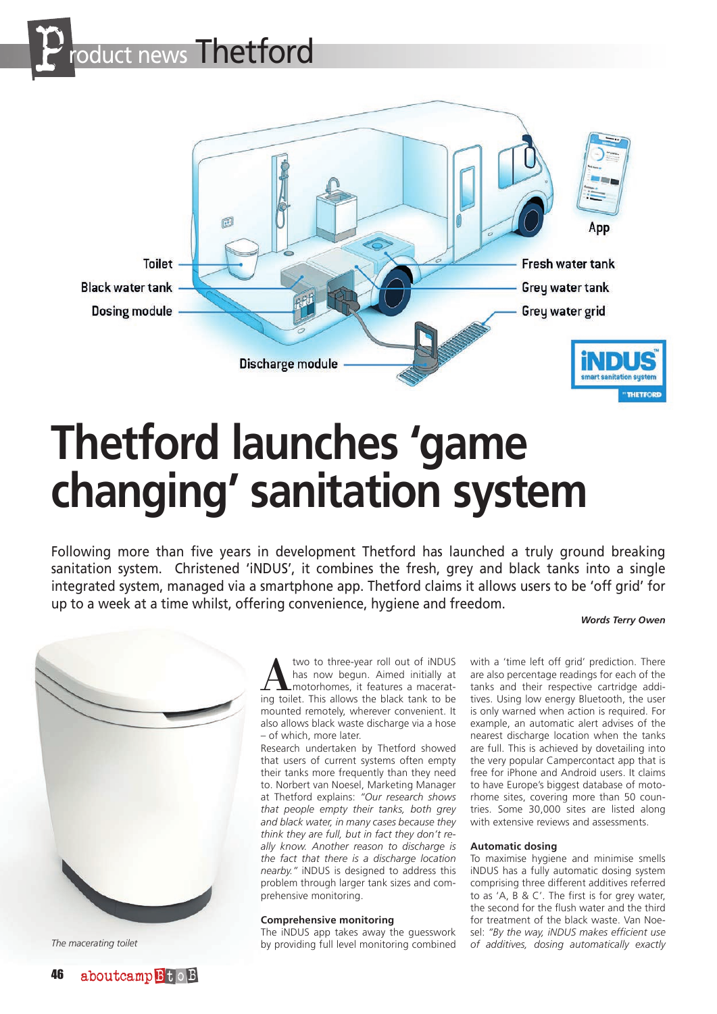



# **Thetford launches 'game changing' sanitation system**

Following more than five years in development Thetford has launched a truly ground breaking sanitation system. Christened 'iNDUS', it combines the fresh, grey and black tanks into a single integrated system, managed via a smartphone app. Thetford claims it allows users to be 'off grid' for up to a week at a time whilst, offering convenience, hygiene and freedom.

## *Words Terry Owen*



A two to three-year roll out of iNDUS<br>has now begun. Aimed initially at<br>motorhomes, it features a macerat-<br>ing toilet. This allows the black tank to be has now begun. Aimed initially at ing toilet. This allows the black tank to be mounted remotely, wherever convenient. It also allows black waste discharge via a hose – of which, more later.

Research undertaken by Thetford showed that users of current systems often empty their tanks more frequently than they need to. Norbert van Noesel, Marketing Manager at Thetford explains: *"Our research shows that people empty their tanks, both grey and black water, in many cases because they think they are full, but in fact they don't really know. Another reason to discharge is the fact that there is a discharge location nearby."* iNDUS is designed to address this problem through larger tank sizes and comprehensive monitoring.

## **Comprehensive monitoring**

The iNDUS app takes away the guesswork by providing full level monitoring combined

with a 'time left off grid' prediction. There are also percentage readings for each of the tanks and their respective cartridge additives. Using low energy Bluetooth, the user is only warned when action is required. For example, an automatic alert advises of the nearest discharge location when the tanks are full. This is achieved by dovetailing into the very popular Campercontact app that is free for iPhone and Android users. It claims to have Europe's biggest database of motorhome sites, covering more than 50 countries. Some 30,000 sites are listed along with extensive reviews and assessments.

## **Automatic dosing**

To maximise hygiene and minimise smells iNDUS has a fully automatic dosing system comprising three different additives referred to as 'A, B & C'. The first is for grey water, the second for the flush water and the third for treatment of the black waste. Van Noesel: *"By the way, iNDUS makes efficient use The macerating toilet of additives, dosing automatically exactly*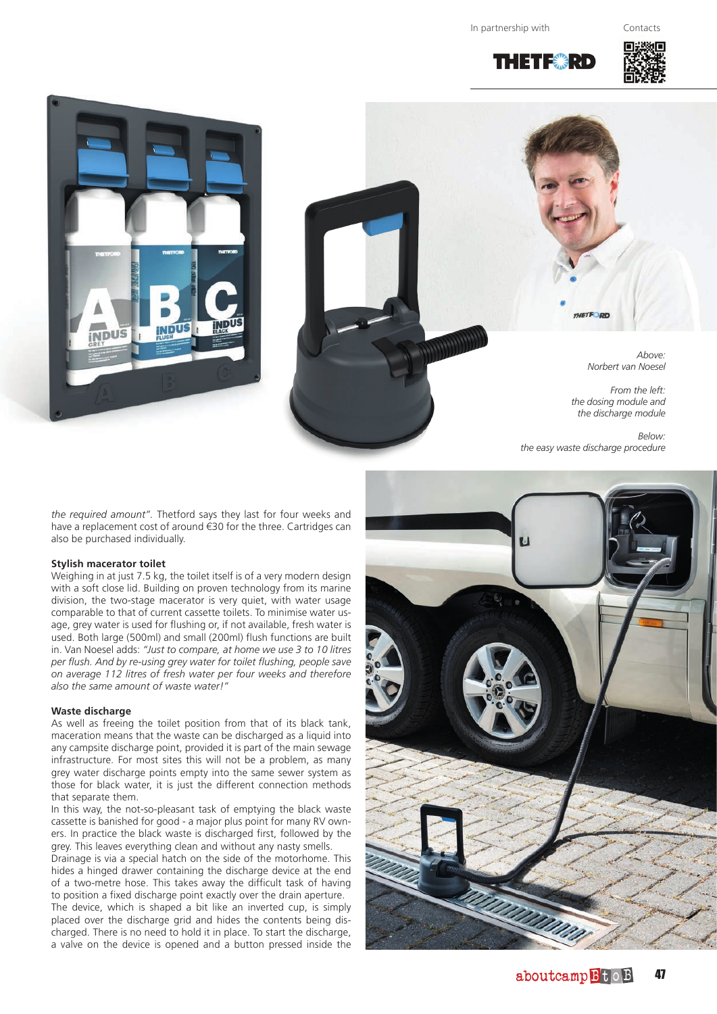In partnership with Contacts

THE FIRE





*Norbert van Noesel From the left: the dosing module and* 

*the discharge module*

*Above:*

*Below: the easy waste discharge procedure*

*the required amount".* Thetford says they last for four weeks and have a replacement cost of around €30 for the three. Cartridges can also be purchased individually.

#### **Stylish macerator toilet**

Weighing in at just 7.5 kg, the toilet itself is of a very modern design with a soft close lid. Building on proven technology from its marine division, the two-stage macerator is very quiet, with water usage comparable to that of current cassette toilets. To minimise water usage, grey water is used for flushing or, if not available, fresh water is used. Both large (500ml) and small (200ml) flush functions are built in. Van Noesel adds: *"Just to compare, at home we use 3 to 10 litres per flush. And by re-using grey water for toilet flushing, people save on average 112 litres of fresh water per four weeks and therefore also the same amount of waste water!"*

## **Waste discharge**

As well as freeing the toilet position from that of its black tank, maceration means that the waste can be discharged as a liquid into any campsite discharge point, provided it is part of the main sewage infrastructure. For most sites this will not be a problem, as many grey water discharge points empty into the same sewer system as those for black water, it is just the different connection methods that separate them.

In this way, the not-so-pleasant task of emptying the black waste cassette is banished for good - a major plus point for many RV owners. In practice the black waste is discharged first, followed by the grey. This leaves everything clean and without any nasty smells.

Drainage is via a special hatch on the side of the motorhome. This hides a hinged drawer containing the discharge device at the end of a two-metre hose. This takes away the difficult task of having to position a fixed discharge point exactly over the drain aperture.

The device, which is shaped a bit like an inverted cup, is simply placed over the discharge grid and hides the contents being discharged. There is no need to hold it in place. To start the discharge, a valve on the device is opened and a button pressed inside the